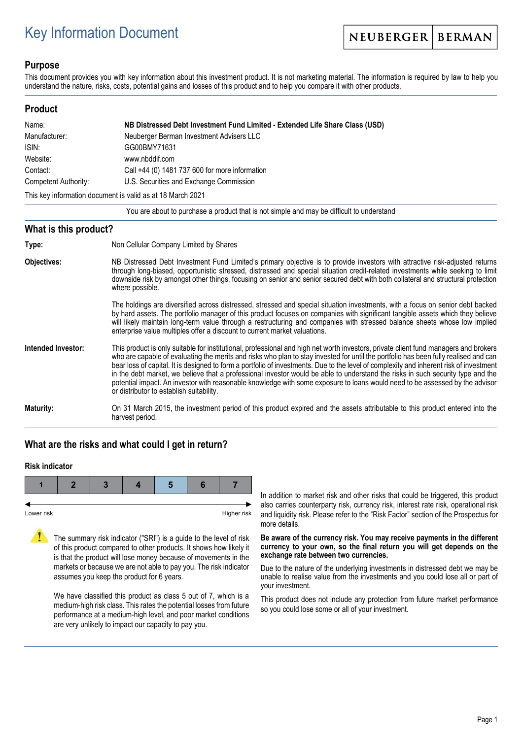# Key Information Document

NEUBERGER **BERMAN** 

### **Purpose**

This document provides you with key information about this investment product. It is not marketing material. The information is required by law to help you understand the nature, risks, costs, potential gains and losses of this product and to help you compare it with other products.

#### **Product**

| Name:                                                      | NB Distressed Debt Investment Fund Limited - Extended Life Share Class (USD) |  |  |
|------------------------------------------------------------|------------------------------------------------------------------------------|--|--|
| Manufacturer:                                              | Neuberger Berman Investment Advisers LLC                                     |  |  |
| ISIN:                                                      | GG00BMY71631                                                                 |  |  |
| Website:                                                   | www.nbddif.com                                                               |  |  |
| Contact:                                                   | Call +44 (0) 1481 737 600 for more information                               |  |  |
| Competent Authority:                                       | U.S. Securities and Exchange Commission                                      |  |  |
| This key information document is valid as at 18 March 2021 |                                                                              |  |  |

You are about to purchase a product that is not simple and may be difficult to understand

#### **What is this product?**

| Type:              | Non Cellular Company Limited by Shares                                                                                                                                                                                                                                                                                                                                                                                                                                                                                                                                                                                                                                                                                                 |
|--------------------|----------------------------------------------------------------------------------------------------------------------------------------------------------------------------------------------------------------------------------------------------------------------------------------------------------------------------------------------------------------------------------------------------------------------------------------------------------------------------------------------------------------------------------------------------------------------------------------------------------------------------------------------------------------------------------------------------------------------------------------|
| Objectives:        | NB Distressed Debt Investment Fund Limited's primary objective is to provide investors with attractive risk-adjusted returns<br>through long-biased, opportunistic stressed, distressed and special situation credit-related investments while seeking to limit<br>downside risk by amongst other things, focusing on senior and senior secured debt with both collateral and structural protection<br>where possible.                                                                                                                                                                                                                                                                                                                 |
|                    | The holdings are diversified across distressed, stressed and special situation investments, with a focus on senior debt backed<br>by hard assets. The portfolio manager of this product focuses on companies with significant tangible assets which they believe<br>will likely maintain long-term value through a restructuring and companies with stressed balance sheets whose low implied<br>enterprise value multiples offer a discount to current market valuations.                                                                                                                                                                                                                                                             |
| Intended Investor: | This product is only suitable for institutional, professional and high net worth investors, private client fund managers and brokers<br>who are capable of evaluating the merits and risks who plan to stay invested for until the portfolio has been fully realised and can<br>bear loss of capital. It is designed to form a portfolio of investments. Due to the level of complexity and inherent risk of investment<br>in the debt market, we believe that a professional investor would be able to understand the risks in such security type and the<br>potential impact. An investor with reasonable knowledge with some exposure to loans would need to be assessed by the advisor<br>or distributor to establish suitability. |
| Maturity:          | On 31 March 2015, the investment period of this product expired and the assets attributable to this product entered into the                                                                                                                                                                                                                                                                                                                                                                                                                                                                                                                                                                                                           |

# **What are the risks and what could I get in return?**

harvest period.

#### **Risk indicator**



The summary risk indicator ("SRI") is a guide to the level of risk of this product compared to other products. It shows how likely it is that the product will lose money because of movements in the markets or because we are not able to pay you. The risk indicator assumes you keep the product for 6 years.

We have classified this product as class 5 out of 7, which is a medium-high risk class. This rates the potential losses from future performance at a medium-high level, and poor market conditions are very unlikely to impact our capacity to pay you.

In addition to market risk and other risks that could be triggered, this product also carries counterparty risk, currency risk, interest rate risk, operational risk and liquidity risk. Please refer to the "Risk Factor" section of the Prospectus for more details.

#### **Be aware of the currency risk. You may receive payments in the different currency to your own, so the final return you will get depends on the exchange rate between two currencies.**

Due to the nature of the underlying investments in distressed debt we may be unable to realise value from the investments and you could lose all or part of your investment.

This product does not include any protection from future market performance so you could lose some or all of your investment.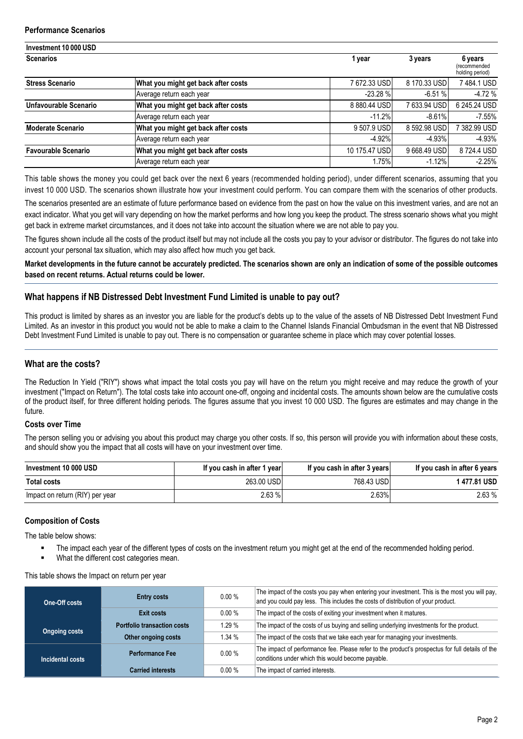| Investment 10 000 USD      |                                     |               |               |                                            |  |
|----------------------------|-------------------------------------|---------------|---------------|--------------------------------------------|--|
| <b>Scenarios</b>           |                                     | 1 year        | 3 years       | 6 years<br>(recommended<br>holding period) |  |
| <b>Stress Scenario</b>     | What you might get back after costs | 7672.33 USD   | 8 170.33 USD  | 7484.1 USD                                 |  |
|                            | Average return each year            | $-23.28$ %    | $-6.51%$      | $-4.72%$                                   |  |
| Unfavourable Scenario      | What you might get back after costs | 8880.44 USD   | 7 633.94 USDI | 6 245.24 USD                               |  |
|                            | Average return each year            | $-11.2%$      | $-8.61%$      | $-7.55%$                                   |  |
| <b>Moderate Scenario</b>   | What you might get back after costs | 9 507.9 USD   | 8 592.98 USD  | 7 382.99 USD                               |  |
|                            | Average return each year            | $-4.92%$      | $-4.93%$      | $-4.93%$                                   |  |
| <b>Favourable Scenario</b> | What you might get back after costs | 10 175.47 USD | 9668.49 USD   | 8724.4 USD                                 |  |
|                            | Average return each year            | 1.75%         | $-1.12%$      | $-2.25%$                                   |  |

This table shows the money you could get back over the next 6 years (recommended holding period), under different scenarios, assuming that you invest 10 000 USD. The scenarios shown illustrate how your investment could perform. You can compare them with the scenarios of other products.

The scenarios presented are an estimate of future performance based on evidence from the past on how the value on this investment varies, and are not an exact indicator. What you get will vary depending on how the market performs and how long you keep the product. The stress scenario shows what you might get back in extreme market circumstances, and it does not take into account the situation where we are not able to pay you.

The figures shown include all the costs of the product itself but may not include all the costs you pay to your advisor or distributor. The figures do not take into account your personal tax situation, which may also affect how much you get back.

**Market developments in the future cannot be accurately predicted. The scenarios shown are only an indication of some of the possible outcomes based on recent returns. Actual returns could be lower.**

### **What happens if NB Distressed Debt Investment Fund Limited is unable to pay out?**

This product is limited by shares as an investor you are liable for the product's debts up to the value of the assets of NB Distressed Debt Investment Fund Limited. As an investor in this product you would not be able to make a claim to the Channel Islands Financial Ombudsman in the event that NB Distressed Debt Investment Fund Limited is unable to pay out. There is no compensation or guarantee scheme in place which may cover potential losses.

## **What are the costs?**

The Reduction In Yield ("RIY") shows what impact the total costs you pay will have on the return you might receive and may reduce the growth of your investment ("Impact on Return"). The total costs take into account one-off, ongoing and incidental costs. The amounts shown below are the cumulative costs of the product itself, for three different holding periods. The figures assume that you invest 10 000 USD. The figures are estimates and may change in the future.

#### **Costs over Time**

The person selling you or advising you about this product may charge you other costs. If so, this person will provide you with information about these costs, and should show you the impact that all costs will have on your investment over time.

| Investment 10 000 USD           | If you cash in after 1 year | If you cash in after 3 years | If you cash in after 6 years |
|---------------------------------|-----------------------------|------------------------------|------------------------------|
| <b>Total costs</b>              | 263.00 USD                  | 768.43 USD                   | 1 477.81 USD                 |
| Impact on return (RIY) per year | 2.63 %                      | 2.63%                        | 2.63%                        |

### **Composition of Costs**

The table below shows:

- The impact each year of the different types of costs on the investment return you might get at the end of the recommended holding period.
- What the different cost categories mean.

This table shows the Impact on return per year

| One-Off costs        | <b>Entry costs</b>          | 0.00% | The impact of the costs you pay when entering your investment. This is the most you will pay,<br>and you could pay less. This includes the costs of distribution of your product. |
|----------------------|-----------------------------|-------|-----------------------------------------------------------------------------------------------------------------------------------------------------------------------------------|
|                      | <b>Exit costs</b>           | 0.00% | The impact of the costs of exiting your investment when it matures.                                                                                                               |
| <b>Ongoing costs</b> | Portfolio transaction costs | 1.29% | The impact of the costs of us buying and selling underlying investments for the product.                                                                                          |
|                      | Other ongoing costs         | 1.34% | The impact of the costs that we take each year for managing your investments.                                                                                                     |
| Incidental costs     | <b>Performance Fee</b>      | 0.00% | The impact of performance fee. Please refer to the product's prospectus for full details of the<br>conditions under which this would become payable.                              |
|                      | <b>Carried interests</b>    | 0.00% | The impact of carried interests.                                                                                                                                                  |